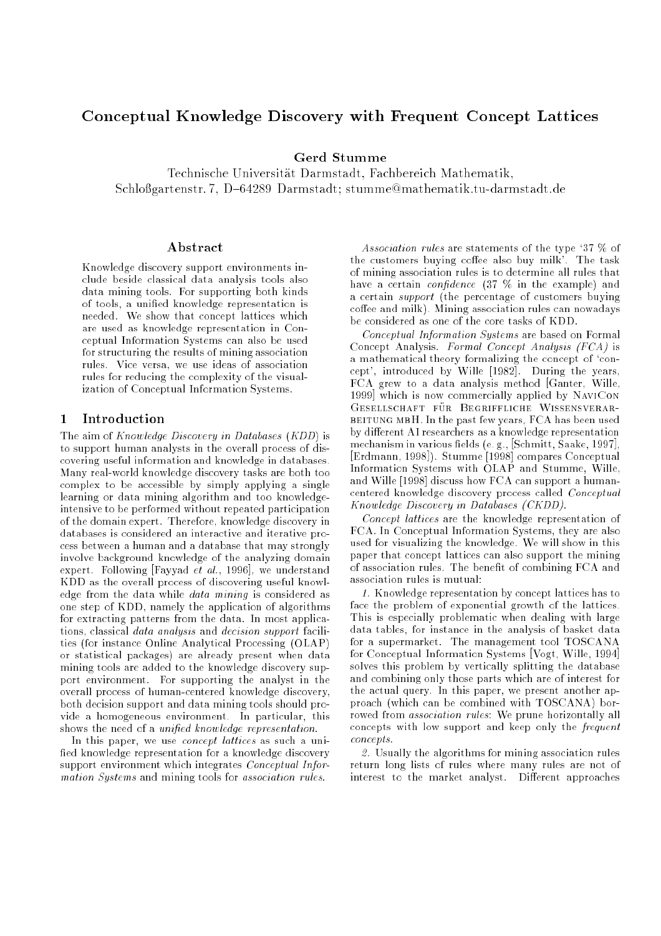# Conceptual Knowledge Discovery with Frequent Concept Lattices

## **Gerd Stumme**

Technische Universitat Darmstadt, Fachbereich Mathematik,Schlogartenstr. 7, D{64289 Darmstadt; stumme@mathematik.tu-darmstadt.de

#### Abstract

Knowledge discovery support environments include beside classical data analysis tools also data mining tools. For supporting both kinds of tools, a unied knowledge representation is needed. We show that concept lattices which are used as knowledge representation in Conceptual Information Systems can also be used for structuring the results of mining association rules. Vice versa, we use ideas of association rules for reducing the complexity of the visualization of Conceptual Information Systems.

### 1 Introduction

The aim of  $Knowledge \, Discovery \,in \,Databases \, (KDD)$  is to support human analysts in the overall process of discovering useful information and knowledge in databases. Many real-world knowledge discovery tasks are both too complex to be accessible by simply applying a single learning or data mining algorithm and too knowledgeintensive to be performed without repeated participation of the domain expert. Therefore, knowledge discovery in databases is considered an interactive and iterative process between a human and a database that may strongly involve background knowledge of the analyzing domain expert. Following [Fayyad  $e\bar{t}$  al., 1996], we understand KDD as the overall process of discovering useful knowledge from the data while data mining is considered as one step of KDD, namely the application of algorithms for extracting patterns from the data. In most applications, classical data analysis and decision support facilities (for instance Online Analytical Processing (OLAP) or statistical packages) are already present when data mining tools are added to the knowledge discovery support environment. For supporting the analyst in the overall process of human-centered knowledge discovery, both decision support and data mining tools should provide a homogeneous environment. In particular, this shows the need of a *unified knowledge representation*.

In this paper, we use *concept lattices* as such a unified knowledge representation for a knowledge discovery support environment which integrates Conceptual Information Systems and mining tools for association rules.

Association rules are statements of the type '37 % of the customers buying coffee also buy milk'. The task of mining association rules is to determine all rules that have a certain *confidence*  $(37 \, \% \, \text{in the example})$  and a certain support (the percentage of customers buying  $\text{cofree}$  and milk). Mining association rules can nowadays be considered as one of the core tasks of KDD.

Conceptual Information Systems are based on Formal Concept Analysis. Formal Concept Analysis (FCA) is a mathematical theory formalizing the concept of 'concept', introduced by Wille [1982]. During the years, FCA grew to a data analysis method [Ganter, Wille, 1999] which is now commercially applied by NaviCon Gesellschaft i die Beginn Begriffliche Wissenschaft BEITUNG MBH. In the past few years, FCA has been used by different AI researchers as a knowledge representation mechanism in various fields (e.g., [Schmitt, Saake, 1997], [Erdmann, 1998]). Stumme [1998] compares Conceptual Information Systems with OLAP and Stumme, Wille, and Wille [1998] discuss how FCA can support a humancentered knowledge discovery process called Conceptual Know ledge Discovery in Databases (CKDD).

Concept lattices are the knowledge representation of FCA. In Conceptual Information Systems, they are also used for visualizing the knowledge. We will show in this paper that concept lattices can also support the mining of association rules. The benet of combining FCA and association rules is mutual:

1. Knowledge representation by concept lattices has to face the problem of exponential growth of the lattices. This is especially problematic when dealing with large data tables, for instance in the analysis of basket data for a supermarket. The management tool TOSCANA for Conceptual Information Systems [Vogt, Wille, 1994] solves this problem by vertically splitting the database and combining only those parts which are of interest for the actual query. In this paper, we present another approach (which can be combined with TOSCANA) borrowed from *association rules*: We prune horizontally all concepts with low support and keep only the frequent concepts.

2. Usually the algorithms for mining association rules return long lists of rules where many rules are not of interest to the market analyst. Different approaches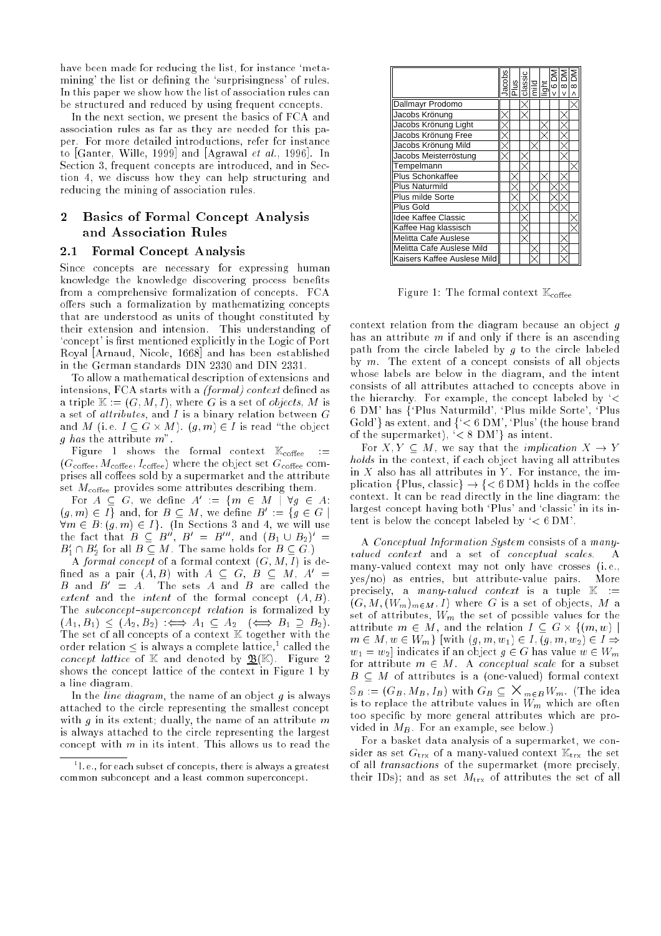have been made for reducing the list, for instance 'metamining' the list or defining the 'surprisingness' of rules. In this paper we show how the list of association rules can be structured and reduced by using frequent concepts.

In the next section, we present the basics of FCA and association rules as far as they are needed for this paper. For more detailed introductions, refer for instance to [Ganter, Wille, 1999] and [Agrawal et al., 1996]. In Section 3, frequent concepts are introduced, and in Section 4, we discuss how they can help structuring and reducing the mining of association rules.

#### $\bf{2}$ 2 Basics of Formal Concept Analysis and Association Rules

#### 2.1 Formal Concept Analysis

Since concepts are necessary for expressing human knowledge the knowledge discovering process benefits from a comprehensive formalization of concepts. FCA offers such a formalization by mathematizing concepts that are understood as units of thought constituted by their extension and intension. This understanding of 'concept' is first mentioned explicitly in the Logic of Port Royal [Arnaud, Nicole, 1668] and has been established in the German standards DIN 2330 and DIN 2331.

To allow a mathematical description of extensions and intensions, FCA starts with a *(formal)* context defined as a triple  $\mathbb{K} := (G, M, I)$ , where G is a set of *objects*, M is a set of *attributes*, and I is a binary relation between  $G$ and  $\alpha$  is e.g.  $\alpha$  is ready in the object of  $\alpha$  is ready  $\alpha$  is ready  $\alpha$ g has the attribute  $m$ ".

Figure 1 shows the formal context  $\mathbb{K}_{\text{cofree}}$  :=  $(G<sub>cofree</sub>, M<sub>cofree</sub>, I<sub>cofree</sub>)$  where the object set  $G<sub>cofree</sub>$  comprises all coffees sold by a supermarket and the attribute set  $M_{\text{cofree}}$  provides some attributes describing them.

For  $A \subseteq G$ , we define  $A := \{ m \in M \mid \forall g \in A : (g, m) \in I \}$  and, for  $B \subseteq M$ , we define  $B' := \{ g \in G \mid$ the fact that  $B \subseteq B''$ ,  $B' = B'''$ , and  $(B_1 \cup B_2)' = B'_1 \cap B'_2$  for all  $B \subseteq M$ . The same holds for  $B \subseteq G$ .)

A formal concept of a formal context  $(G, M, I)$  is deinned as a pair (A; D) with  $A\, \subseteq\,$  G,  $B\, \subseteq\,$  M,  $A\, \equiv\,$  $B$  and  $B$   $\equiv$   $A$ . The sets  $A$  and  $B$  are called the extent and the *intent* of the formal concept  $(A, B)$ . The subconcept-superconcept relation is formalized by (AAI) 21; B2) :() (A2) :() A2; B2):() B1 B2):() B1 B2):() The set of all concepts of a context <sup>K</sup> together with the order relation  $\leq$  is always a complete lattice," called the concept lattice of M and denoted by B(K). Figure 2 shows the concept lattice of the context in Figure 1 by a line diagram.

In the *line diagram*, the name of an object  $g$  is always attached to the circle representing the smallest concept with  $g$  in its extent; dually, the name of an attribute  $m$ is always attached to the circle representing the largest concept with  $m$  in its intent. This allows us to read the

|                             | lacobs | <b>NUSE SERVER</b><br><b>RUSE SERVER</b><br>RUSE SERVER<br>NUSE SERVER |  |  | $\infty$ |
|-----------------------------|--------|------------------------------------------------------------------------|--|--|----------|
| Dallmayr Prodomo            |        |                                                                        |  |  |          |
| Jacobs Krönung              |        |                                                                        |  |  |          |
| Jacobs Krönung Light        |        |                                                                        |  |  |          |
| Jacobs Krönung Free         |        |                                                                        |  |  |          |
| Jacobs Krönung Mild         |        |                                                                        |  |  |          |
| Jacobs Meisterröstung       |        |                                                                        |  |  |          |
| Tempelmann                  |        |                                                                        |  |  |          |
| <b>Plus Schonkaffee</b>     |        |                                                                        |  |  |          |
| <b>Plus Naturmild</b>       |        |                                                                        |  |  |          |
| Plus milde Sorte            |        |                                                                        |  |  |          |
| Plus Gold                   |        |                                                                        |  |  |          |
| <b>Idee Kaffee Classic</b>  |        |                                                                        |  |  |          |
| Kaffee Hag klassisch        |        |                                                                        |  |  |          |
| <b>Melitta Cafe Auslese</b> |        |                                                                        |  |  |          |
| Melitta Cafe Auslese Mild   |        |                                                                        |  |  |          |
| Kaisers Kaffee Auslese Mild |        |                                                                        |  |  |          |

Figure 1: The formal context  $\mathbb{K}_{\text{cofree}}$ 

context relation from the diagram because an object  $q$ has an attribute  $m$  if and only if there is an ascending path from the circle labeled by  $q$  to the circle labeled by  $m$ . The extent of a concept consists of all objects whose labels are below in the diagram, and the intent consists of all attributes attached to concepts above in the hierarchy. For example, the concept labeled by `< 6 DM' has f`Plus Naturmild', `Plus milde Sorte', `Plus Gold'} as extent, and  $\{\leq 6$  DM', 'Plus' (the house brand of the supermarket),  $\leq 8$  DM' as intent.

For  $X, Y \subseteq M$ , we say that the *implication*  $X \to Y$ holds in the context, if each object having all attributes in  $X$  also has all attributes in  $Y$ . For instance, the implication {Plus, classic}  $\rightarrow$  {<6 DM} holds in the coffee context. It can be read directly in the line diagram: the largest concept having both `Plus' and `classic' in its intent is below the concept labeled by  $\leq 6$  DM'.

A Conceptual Information System consists of a manyvalued context and a set of conceptual scales. A many-valued context may not only have crosses (i. e.,  $yes/no)$  as entries, but attribute-value pairs. More precisely, a *many-valued context* is a tuple  $\mathbb{K}$  :=  $(G, M, (W_m)_{m \in M}, I)$  where G is a set of objects, M a set of attributes,  $W_m$  the set of possible values for the at the set of the relation  $\mathcal{L}$  and the relation  $\mathcal{L}$  and  $\mathcal{L}$  and  $\mathcal{L}$  and  $\mathcal{L}$  $m \in M, w \in W_m$  [with  $(g, m, w_1) \in I, (g, m, w_2) \in I \Rightarrow$  $w_1 = w_2$  indicates if an object  $q \in G$  has value  $w \in W_m$ for attribute  $m \in M$ . A conceptual scale for a subset  $B \subseteq M$  of attributes is a (one-valued) formal context  $\omega_B := (\cup_B, \textit{m}_B, \textit{1}_B)$  with  $\cup_B \subseteq \wedge \textit{m}_F$   $\textit{B}$  *W*<sub>m</sub>. (The idea is to replace the attribute values in  $W_m$  which are orten too specific by more general attributes which are provided in  $M_B$ . For an example, see below.)

For a basket data analysis of a supermarket, we consider as set  $G_{\text{trx}}$  of a many-valued context  $\mathbb{K}_{\text{trx}}$  the set of all transactions of the supermarket (more precisely, their IDs); and as set  $M_{\text{trx}}$  of attributes the set of all

<sup>1</sup> I. e., for each subset of concepts, there is always a greatestcommon subconcept and a least common superconcept.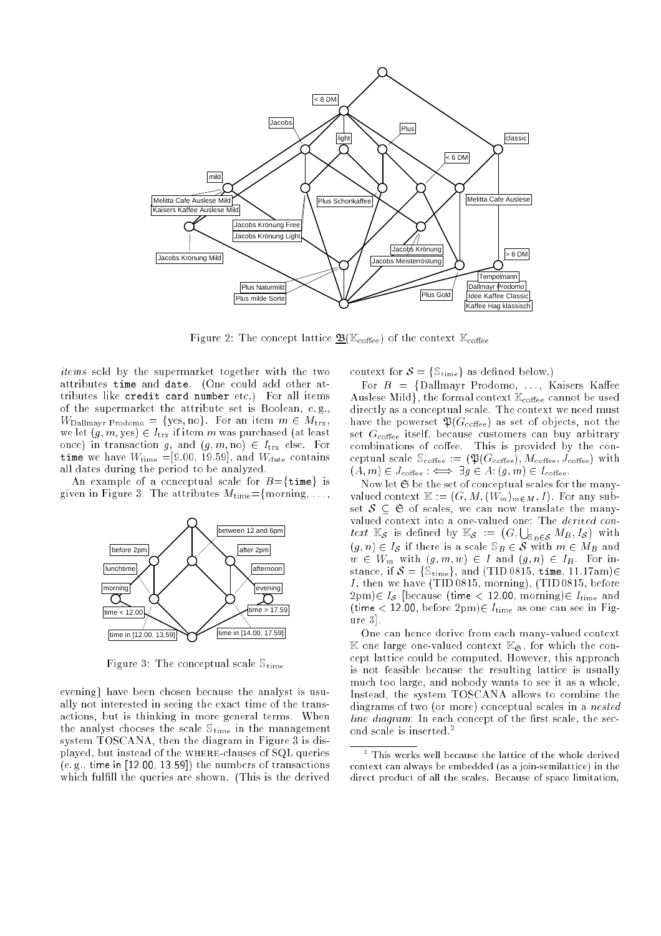

Figure 2: The concept lattice  $\mathfrak{B}(\mathbb{K}_{\text{cofree}})$  of the context  $\mathbb{K}_{\text{cofree}}$ 

items sold by the supermarket together with the two attributes time and date. (One could add other attributes like credit card number etc.) For all items of the supermarket the attribute set is Boolean, e. g.,  $W_{\text{Dallmavr Prodomo}} = \{ \text{yes, no} \}.$  For an item  $m \in M_{\text{trx}}$ , we let  $(g, m, \text{yes}) \in I_{\text{trx}}$  if item m was purchased (at least once) in transaction g, and  $(g, m, no) \in I_{\text{trx}}$  else. For time we have  $W_{time} = [9.00, 19.59]$ , and  $W_{\text{date}}$  contains all dates during the period to be analyzed.

An example of a conceptual scale for  $B = \{ \text{time} \}$  is given in Figure 3. The attributes  $M_{time} = \{$  morning, ...,



Figure 3: The conceptual scale  $\mathcal{S}_{time}$ 

evening} have been chosen because the analyst is usually not interested in seeing the exact time of the transactions, but is thinking in more general terms. When the analyst chooses the scale  $\mathbb{S}_{time}$  in the management system TOSCANA, then the diagram in Figure 3 is displayed, but instead of the where-clauses of SQL queries (e. g., time in [12.00, 13.59]) the numbers of transactions which fulfill the queries are shown. (This is the derived

context for  $S = \{S_{time}\}\$ as defined below.)

For  $B = \{\text{Dallmayr Prodomo}, \ldots, \text{Kaisers Kaffee}\}$ Auslese Mild), the formal context  $\mathbb{K}_{\text{cofree}}$  cannot be used directly as a conceptual scale. The context we need must have the powerset  $\mathfrak{P}(G_{\text{cofree}})$  as set of objects, not the set  $G_{\text{cofree}}$  itself, because customers can buy arbitrary combinations of coffee. This is provided by the conceptual scale  $\mathcal{S}_{\text{cofree}} := (\mathfrak{P}(G_{\text{cofree}}), M_{\text{cofree}}, J_{\text{cofree}})$  with  $(A, m) \in J_{\text{cofree}} : \iff \exists g \in A: (g, m) \in I_{\text{cofree}}.$ 

Now let  $\mathfrak S$  be the set of conceptual scales for the manyvalued context  $\mathbb{K} := (G, M, (W_m)_{m \in M}, I)$ . For any subset  $S \subseteq \mathfrak{S}$  of scales, we can now translate the manyvalued context into a one-valued one: The derived context  $\mathbb{K}_{\mathcal{S}}$  is defined by  $\mathbb{K}_{\mathcal{S}} := (G, \bigcup_{\mathbb{S}_{B} \in \mathcal{S}} M_B, I_{\mathcal{S}})$  $(g, n) \in I_{\mathcal{S}}$  if there is a scale  $\mathcal{S}_B \in \mathcal{S}$  with  $m \in M_B$  and  $w \in W_m$  with  $(g, m, w) \in I$  and  $(g, n) \in I_B$ . For instance, if  $S = \{S_{time}\}\$ , and (TID 0815, time, 11.17am) $\in$ I, then we have (TID 0815, morning), (TID 0815, before  $(2pm) \in I_{\mathcal{S}}$  [because (time < 12.00, morning) $\in I_{time}$  and (time  $< 12.00$ , before  $2pm$ ) $\in$   $I_{time}$  as one can see in Figure 3].

One can hence derive from each many-valued context  $\mathbb K$  one large one-valued context  $\mathbb K_{\mathfrak S},$  for which the concept lattice could be computed. However, this approach is not feasible because the resulting lattice is usually much too large, and nobody wants to see it as a whole. Instead, the system TOSCANA allows to combine the diagrams of two (or more) conceptual scales in a nested  $line diagram$ : In each concept of the first scale, the second scale is inserted.<sup>2</sup>

<sup>2</sup> This works well because the lattice of the whole derivedcontext can always be embedded (as a join-semilattice) in the direct product of all the scales. Because of space limits of space limitation, and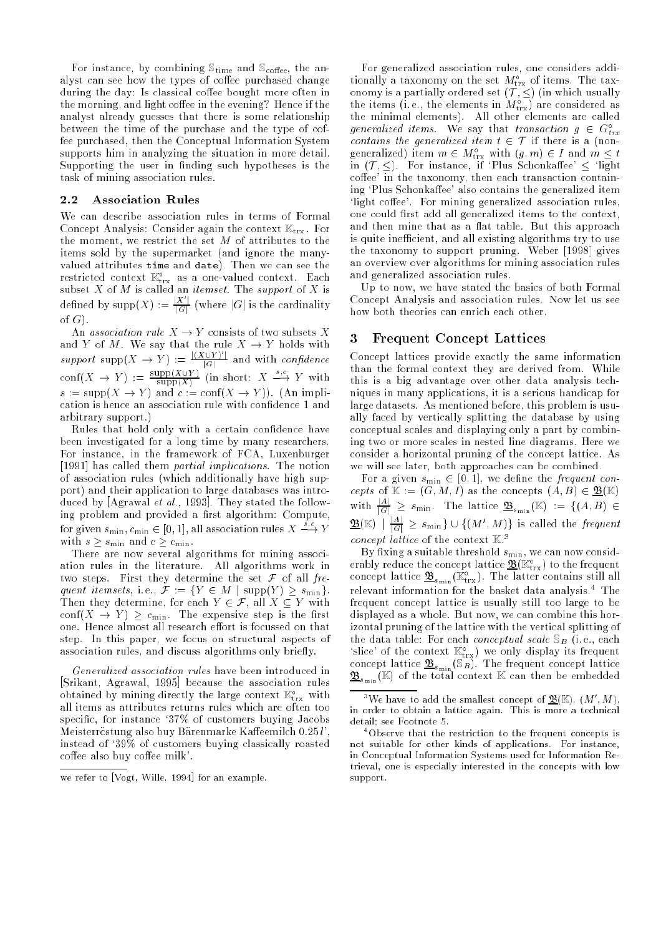For instance, by combining  $\mathbb{S}_{\text{time}}$  and  $\mathbb{S}_{\text{cofree}}$ , the analyst can see how the types of coffee purchased change during the day: Is classical coffee bought more often in the morning, and light coffee in the evening? Hence if the analyst already guesses that there is some relationship between the time of the purchase and the type of coffee purchased, then the Conceptual Information System supports him in analyzing the situation in more detail. Supporting the user in finding such hypotheses is the task of mining association rules.

#### 2.2 Association Rules

We can describe association rules in terms of Formal Concept Analysis: Consider again the context  $\mathbb{K}_{\text{trx}}$ . For the moment, we restrict the set  $M$  of attributes to the items sold by the supermarket (and ignore the manyvalued attributes time and date). Then we can see the restricted context  $\mathbb{A}_{\text{trx}}^*$  as a one-valued context. Each subset  $X$  of  $M$  is called an *itemset*. The *support* of  $X$  is defined by supp $(X) := \frac{|X'|}{|G|}$  (where |G| is the cardinality of  $G$ ).

An association rule  $X \to Y$  consists of two subsets X support  $\sup(X \to Y) := \frac{|(X \cup Y)^i|}{|G|}$  and with *confidence*  $\text{conf}(X \to Y) := \frac{\text{supp}(X \cup Y)}{\text{supp}(X)}$  (in short:  $X \stackrel{s,c}{\longrightarrow} Y$  with  $s := \text{supp}(X \to Y)$  and  $c := \text{conf}(X \to Y)$ . (An implication is hence an association rule with condence 1 and arbitrary support.)

Rules that hold only with a certain condence have been investigated for a long time by many researchers. For instance, in the framework of FCA, Luxenburger [1991] has called them partial implications. The notion of association rules (which additionally have high support) and their application to large databases was introduced by [Agrawal et al., 1993]. They stated the following problem and provided a first algorithm: Compute, for given  $s_{\min}, c_{\min} \in [0, 1]$ , all association rules  $X \stackrel{s,c}{\longrightarrow} Y$ with s smile s smile . The contract  $\sim$  smiller . The contract of  $\sim$  . The contract of  $\sim$ 

There are now several algorithms for mining association rules in the literature. All algorithms work in two steps. First they determine the set  $\mathcal F$  of all frequent itemsets, i.e.,  $\mathcal{F} := \{ Y \in M \mid \text{supp}(Y) \geq s_{\min} \}.$ Then they determine, for each  $Y \in \mathcal{F}$ , all  $X \subseteq Y$  with  $\text{conf}(X \to Y) > c_{\text{min}}$ . The expensive step is the first one. Hence almost all research effort is focussed on that step. In this paper, we focus on structural aspects of association rules, and discuss algorithms only briefly.

Generalized association rules have been introduced in [Srikant, Agrawal, 1995] because the association rules obtained by mining directly the large context  $\mathbb{K}_\text{trx}$  with all items as attributes returns rules which are often too specific, for instance '37% of customers buying Jacobs Meisterröstung also buy Bärenmarke Kaffeemilch 0.25 l'. instead of `39% of customers buying classically roasted coffee also buy coffee milk'.

For generalized association rules, one considers additionally a taxonomy on the set  $M_{\rm trx}$  of items. The taxthe items (i.e., the elements in  $M_{\text{trx}}^{\circ}$ ) are considered as the minimal elements). All other elements are called generalized items. We say that transaction  $g \in G_{trr}^{\circ}$ trx contains the general interest item to be a contact in the state in generalized) item  $m \in M_{\text{trx}}^{\text{tr}}$  with  $(g, m) \in I$  and  $m \leq t$ <br>in  $(T, \leq)$ . For instance, if 'Plus Schonkaffee'  $\leq$  'light coffee' in the taxonomy, then each transaction containing 'Plus Schonkaffee' also contains the generalized item 'light coffee'. For mining generalized association rules, one could first add all generalized items to the context, and then mine that as a flat table. But this approach is quite inefficient, and all existing algorithms try to use the taxonomy to support pruning. Weber [1998] gives an overview over algorithms for mining association rules and generalized association rules.

Up to now, we have stated the basics of both Formal Concept Analysis and association rules. Now let us see how both theories can enrich each other.

#### 3 Frequent Concept Lattices

Concept lattices provide exactly the same information than the formal context they are derived from. While this is a big advantage over other data analysis techniques in many applications, it is a serious handicap for large datasets. As mentioned before, this problem is usually faced by vertically splitting the database by using conceptual scales and displaying only a part by combining two or more scales in nested line diagrams. Here we consider a horizontal pruning of the concept lattice. As we will see later, both approaches can be combined.

For a given  $s_{\min} \in [0, 1]$ , we define the frequent concepts of  $\mathbb{K} := (G, M, I)$  as the concepts  $(A, B) \in \mathfrak{B}(\mathbb{K})$ with  $\frac{|A|}{|G|} \geq s_{\min}$ . The lattice  $\mathfrak{B}_{s_{\min}}(\mathbb{K}) := \{ (A, B) \in$  $\mathbf{B}(\mathbb{K}) \parallel \frac{|A|}{|G|} \geq s_{\min} \} \cup \{ (M',M) \}$  is called the frequent concept tattice of the context  $\mathbb{R}^+$ 

By fixing a suitable threshold  $s_{\min}$ , we can now considerably reduce the concept lattice  $\underline{\mathfrak{B}}_{(\mathbb{K}_{\text{tr} \chi})}$  to the frequent<br>concept lattice  $\underline{\mathfrak{B}}_{s_{\text{min}}}(\mathbb{K}_{\text{tr} \chi}^{\circ})$ . The latter contains still all relevant information for the basket data analysis. The frequent concept lattice is usually still too large to be displayed as a whole. But now, we can combine this horizontal pruning of the lattice with the vertical splitting of the data table: For each *conceptual scale*  $\mathcal{S}_B$  (i.e., each 'slice' of the context  $\mathbb{K}_{\text{trx}}^{\text{o}}$ ) we only display its frequent<br>concept lattice  $\underline{\mathfrak{B}}_{s_{\min}}(\mathbb{S}_B)$ . The frequent concept lattice  $\mathcal{L}_{s_{\min}}$  ( $\mathbb{F}_{\mu}$ ) of the total context  $\mathbb{F}_{\mu}$  can then be embedded

we refer to proget wille, 1994 for an example.

we have to add the smallest concept of  $\mathfrak{B}(\mathbb{R}), \ (M_-, M_+),$ in order to obtain a lattice again. This is more a technical detail; see Footnote 5.

<sup>4</sup> Observe that the restriction to the frequent concepts is not suitable for other kinds of applications. For instance, in Conceptual Information Systems used for Information Retrieval, one is especially interested in the concepts with low support support.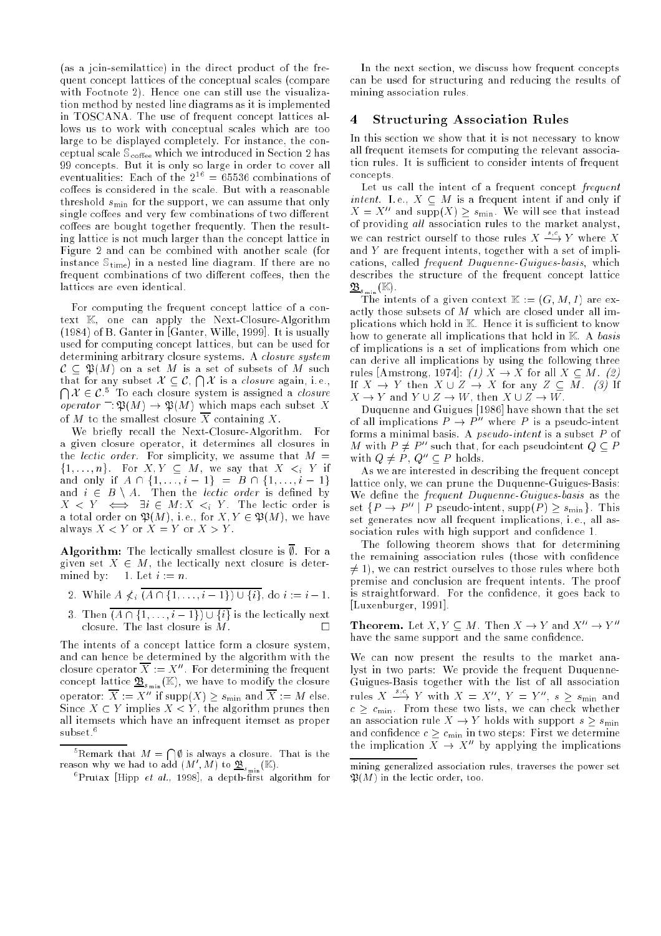(as a join-semilattice) in the direct product of the frequent concept lattices of the conceptual scales (compare with Footnote 2). Hence one can still use the visualization method by nested line diagrams as it is implemented in TOSCANA. The use of frequent concept lattices allows us to work with conceptual scales which are too large to be displayed completely. For instance, the conceptual scale  $\mathbb{S}_{\text{cofree}}$  which we introduced in Section 2 has 99 concepts. But it is only so large in order to cover all eventualities: Each of the  $2^{16} = 65536$  combinations of coffees is considered in the scale. But with a reasonable threshold  $s_{\min}$  for the support, we can assume that only single coffees and very few combinations of two different coffees are bought together frequently. Then the resulting lattice is not much larger than the concept lattice in Figure 2 and can be combined with another scale (for instance  $\mathbb{S}_{time}$  in a nested line diagram. If there are no frequent combinations of two different coffees, then the lattices are even identical.

For computing the frequent concept lattice of a context K, one can apply the Next-Closure-Algorithm (1984) of B. Ganter in [Ganter, Wille, 1999]. It is usually used for computing concept lattices, but can be used for determining arbitrary closure systems. A closure system C P(M) on a set M is a set of subsets of M such that for any subset  $\mathcal{X} \subseteq \mathcal{C}$ ,  $\bigcap \mathcal{X}$  is a *closure* again, i.e.,  $\bigcap \mathcal{X} \in \mathcal{C}$ <sup>5</sup> To each closure system is assigned a *closure* operator  $\Gamma: \mathfrak{P}(M) \to \mathfrak{P}(M)$  which maps each subset X of M to the smallest closure  $\overline{X}$  containing X.

We briefly recall the Next-Closure-Algorithm. For a given closure operator, it determines all closures in the *lectic order*. For simplicity, we assume that  $M =$  $\{1,\ldots,n\}$ . For  $A, I \subseteq M$ , we say that  $A \leq_i I$  if and only if  $\cdots$  if  $\cdots$  if  $\cdots$  in  $\cdots$  in  $\cdots$  if  $\cdots$  in  $\cdots$  . and  $i \in B \setminus A$ . Then the *lectic order* is defined by  $\Lambda \leq I \iff \exists t \in M : \Lambda \leq_i I$ . The lectic order is a total order on P(M), i.e., for the F(M), we have  $\mathcal{N}$  and  $\mathcal{N}$ always  $X < Y$  or  $X = Y$  or  $X > Y$ .

**Algorithm:** The lectically smallest closure is  $\emptyset$ . For a given set  $X \in M$ , the lectically next closure is determined by: 1. Let  $i := n$ .

- 2. While  $A \nless i \overline{(A \cap \{1, \ldots, i-1\}) \cup \{i\}}, \text{ do } i := i 1.$
- 3. Then  $\overline{(A \cap {1, ..., i 1}) \cup {i}}$  is the lectically next closure. The last closure is M. П

The intents of a concept lattice form a closure system, and can hence be determined by the algorithm with the closure operator  $\Lambda^+ \equiv \Lambda^-$  for determining the frequent concept lattice  $\underline{\mathcal{L}}_{s_{\min}}(x)$ , we have to modify the closure operator:  $\Lambda := \Lambda$  If supp( $\Lambda$ )  $\geq s_{\min}$  and  $\Lambda := M$  else. Since  $X \subset Y$  implies  $X \subset Y$ , the algorithm prunes then all itemsets which have an infrequent itemset as proper subset.<sup>6</sup>

 $^5$ Remark that  $M = \bigcap \emptyset$  is always a closure. That is the reason why we had to add  $(M_-,M_+)$  to  $\underline{\mathfrak{B}}_{s_{\text{min}}}(\mathbb{R}).$ 

In the next section, we discuss how frequent concepts can be used for structuring and reducing the results of mining association rules.

#### 4 Structuring Association Rules

In this section we show that it is not necessary to know all frequent itemsets for computing the relevant association rules. It is sufficient to consider intents of frequent concepts.

Let us call the intent of a frequent concept frequent intent. I.e.,  $X \subseteq M$  is a frequent intent if and only if  $X = X''$  and supp $(X) \geq s_{\min}$ . We will see that instead of providing all association rules to the market analyst, we can restrict ourself to those rules  $X \stackrel{s,c}{\longrightarrow} Y$  where X and Y are frequent intents, together with a set of implications, called frequent Duquenne-Guigues-basis, which describes the structure of the frequent concept lattice  $\approx$ s<sub>min</sub> ("").

The intertwine of a given context was  $\mathcal{L} = \{x_i\}$  , where  $\mathcal{L} = \{x_i\}$ actly those subsets of M which are closed under all implications which hold in K. Hence it is sufficient to know how to generate all implications that hold in  $K$ . A basis of implications is a set of implications from which one can derive all implications by using the following three rules [Amstrong, 1974]: (1)  $\ddot{X} \rightarrow \ddot{X}$  for all  $X \subseteq \ddot{M}$ . (2) If  $X \to Y$  then  $X \cup Z \to X$  for any  $Z \subset \overline{M}$ . (3) If  $X \to Y$  and  $Y \cup Z \to W$ , then  $X \cup Z \to W$ .

Duquenne and Guigues [1986] have shown that the set of all implications  $P \to P''$  where P is a pseudo-intent forms a minimal basis. A pseudo-intent is a subset P of  $M$  with  $P \neq P^{\prime \prime}$  such that, for each pseudointent  $Q \subseteq P$ with  $Q \neq P$ ,  $Q'' \subseteq P$  holds.

As we are interested in describing the frequent concept lattice only, we can prune the Duquenne-Guigues-Basis: We define the *frequent Duquenne-Guigues-basis* as the set  $\{P \to P'' \mid P \text{ pseudo-intent, supp}(P) > s_{\min}\}\.$  This set generates now all frequent implications, i. e., all association rules with high support and confidence 1.

The following theorem shows that for determining the remaining association rules (those with confidence  $\neq$  1), we can restrict ourselves to those rules where both premise and conclusion are frequent intents. The proof is straightforward. For the condence, it goes back to [Luxenburger, 1991].

**Theorem.** Let  $X, Y \subseteq M$ . Then  $X \to Y$  and  $X'' \to Y''$ have the same support and the same confidence.

We can now present the results to the market analyst in two parts: We provide the frequent Duquenne-Guigues-Basis together with the list of all association rules  $X \stackrel{s,c}{\longrightarrow} Y$  with  $X = X''$ ,  $Y = Y''$ ,  $s > s_{\min}$  and  $c \geq c_{\text{min}}$ . From these two lists, we can check whether an association rule  $X \to Y$  holds with support  $s \geq s_{\min}$ and confidence  $c \geq c_{\min}$  in two steps: First we determine the implication  $X \to X''$  by applying the implications

 $\mathbb{P}$ Prutax [Hipp *et al.*, 1998], a depth-first algorithm for

mining generalized association rules, traverses the power set  $\mathfrak{B}(M)$  in the lectic order, too.